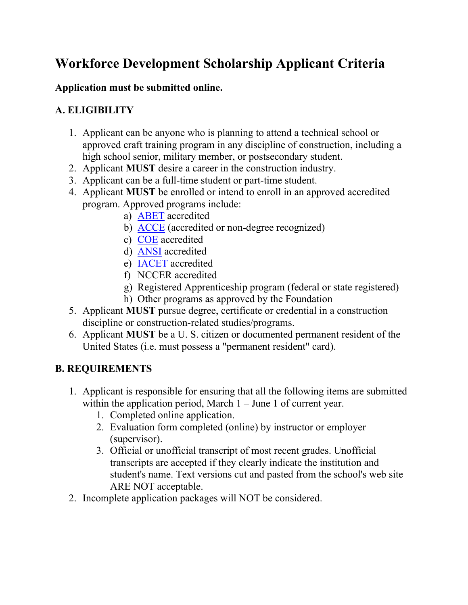# **Workforce Development Scholarship Applicant Criteria**

### **Application must be submitted online.**

## **A. ELIGIBILITY**

- 1. Applicant can be anyone who is planning to attend a technical school or approved craft training program in any discipline of construction, including a high school senior, military member, or postsecondary student.
- 2. Applicant **MUST** desire a career in the construction industry.
- 3. Applicant can be a full-time student or part-time student.
- 4. Applicant **MUST** be enrolled or intend to enroll in an approved accredited program. Approved programs include:
	- a) [ABET](http://main.abet.org/aps/accreditedprogramsearch.aspx) accredited
	- b) [ACCE](http://www.acce-hq.org/accredited_programs/category/associate-programs/) (accredited or non-degree recognized)
	- c) [COE](http://www.council.org/accredited-institutions/) accredited
	- d) [ANSI](https://ansi.org/about_ansi/accredited_programs/overview.aspx) accredited
	- e) [IACET](https://www.iacet.org/resources/accredited-providers-list/) accredited
	- f) NCCER accredited
	- g) Registered Apprenticeship program (federal or state registered)
	- h) Other programs as approved by the Foundation
- 5. Applicant **MUST** pursue degree, certificate or credential in a construction discipline or construction-related studies/programs.
- 6. Applicant **MUST** be a U. S. citizen or documented permanent resident of the United States (i.e. must possess a "permanent resident" card).

## **B. REQUIREMENTS**

- 1. Applicant is responsible for ensuring that all the following items are submitted within the application period, March  $1 -$  June 1 of current year.
	- 1. Completed online application.
	- 2. Evaluation form completed (online) by instructor or employer (supervisor).
	- 3. Official or unofficial transcript of most recent grades. Unofficial transcripts are accepted if they clearly indicate the institution and student's name. Text versions cut and pasted from the school's web site ARE NOT acceptable.
- 2. Incomplete application packages will NOT be considered.